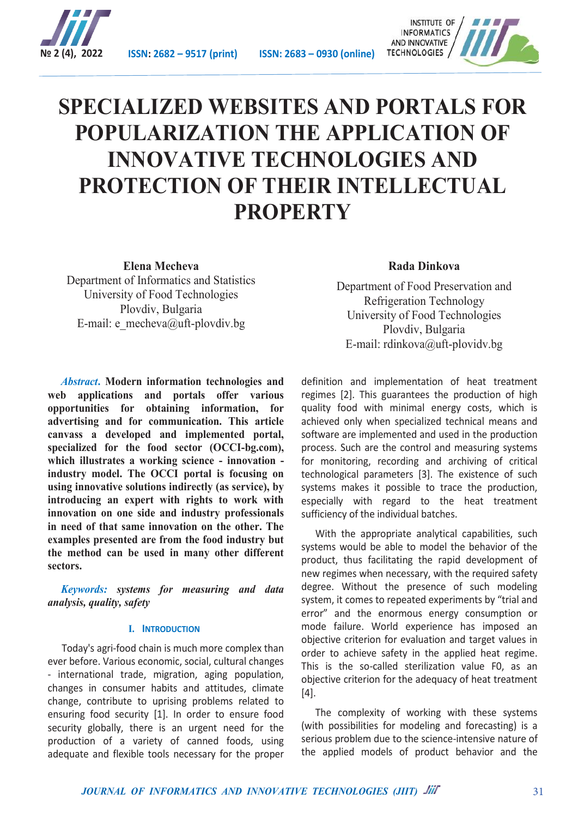

**№ 2 (4), 2022 ISSN: 2682 – 9517 (print) ISSN: 2683 – 0930 (online)**



# **SPECIALIZED WEBSITES AND PORTALS FOR POPULARIZATION THE APPLICATION OF INNOVATIVE TECHNOLOGIES AND PROTECTION OF THEIR INTELLECTUAL PROPERTY**

**Elena Mecheva**  Department of Informatics and Statistics University of Food Technologies Plovdiv, Bulgaria E-mail: e\_mecheva@uft-plovdiv.bg

*Abstract***. Modern information technologies and web applications and portals offer various opportunities for obtaining information, for advertising and for communication. This article canvass a developed and implemented portal, specialized for the food sector (OCCI-bg.com), which illustrates a working science - innovation industry model. The OCCI portal is focusing on using innovative solutions indirectly (as service), by introducing an expert with rights to work with innovation on one side and industry professionals in need of that same innovation on the other. The examples presented are from the food industry but the method can be used in many other different sectors.**

*Keywords: systems for measuring and data analysis, quality, safety*

#### **I. INTRODUCTION**

Today's agri-food chain is much more complex than ever before. Various economic, social, cultural changes - international trade, migration, aging population, changes in consumer habits and attitudes, climate change, contribute to uprising problems related to ensuring food security [1]. In order to ensure food security globally, there is an urgent need for the production of a variety of canned foods, using adequate and flexible tools necessary for the proper

## **Rada Dinkova**

Department of Food Preservation and Refrigeration Technology University of Food Technologies Plovdiv, Bulgaria E-mail: rdinkova@uft-plovidv.bg

definition and implementation of heat treatment regimes [2]. This guarantees the production of high quality food with minimal energy costs, which is achieved only when specialized technical means and software are implemented and used in the production process. Such are the control and measuring systems for monitoring, recording and archiving of critical technological parameters [3]. The existence of such systems makes it possible to trace the production, especially with regard to the heat treatment sufficiency of the individual batches.

With the appropriate analytical capabilities, such systems would be able to model the behavior of the product, thus facilitating the rapid development of new regimes when necessary, with the required safety degree. Without the presence of such modeling system, it comes to repeated experiments by "trial and error" and the enormous energy consumption or mode failure. World experience has imposed an objective criterion for evaluation and target values in order to achieve safety in the applied heat regime. This is the so-called sterilization value F0, as an objective criterion for the adequacy of heat treatment [4].

The complexity of working with these systems (with possibilities for modeling and forecasting) is a serious problem due to the science-intensive nature of the applied models of product behavior and the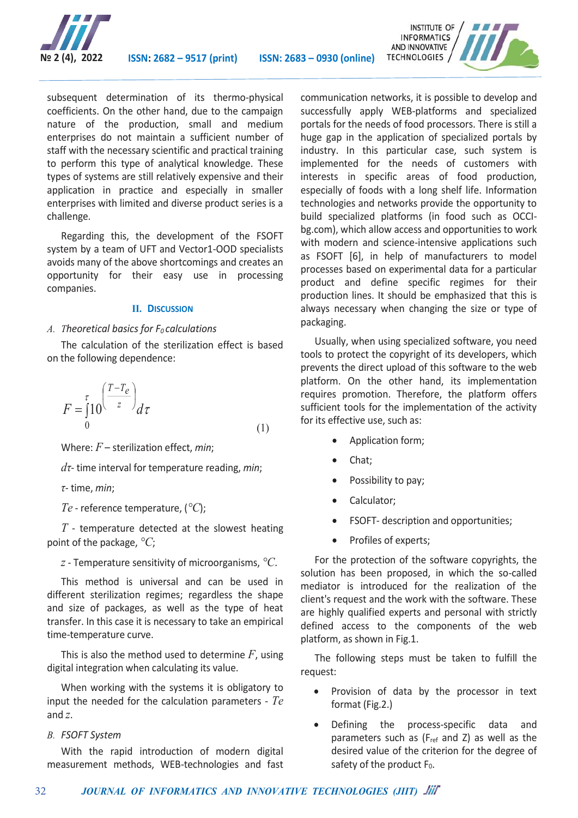

subsequent determination of its thermo-physical coefficients. On the other hand, due to the campaign nature of the production, small and medium enterprises do not maintain a sufficient number of staff with the necessary scientific and practical training to perform this type of analytical knowledge. These types of systems are still relatively expensive and their application in practice and especially in smaller enterprises with limited and diverse product series is a challenge.

Regarding this, the development of the FSOFT system by a team of UFT and Vector1-OOD specialists avoids many of the above shortcomings and creates an opportunity for their easy use in processing companies.

#### **II. DISCUSSION**

#### A. *Theoretical basics for F<sub>0</sub> calculations*

The calculation of the sterilization effect is based on the following dependence:

$$
F = \int_{0}^{\tau} 10^{\left(\frac{T - T_e}{z}\right)} d\tau
$$
 (1)

Where: *F* – sterilization effect, *min*;

*dτ*- time interval for temperature reading, *min*;

*τ*- time, *min*;

*Te* - reference temperature, (*°C*);

*T* - temperature detected at the slowest heating point of the package, *°C*;

*z* - Temperature sensitivity of microorganisms, *°C*.

This method is universal and can be used in different sterilization regimes; regardless the shape and size of packages, as well as the type of heat transfer. In this case it is necessary to take an empirical time-temperature curve.

This is also the method used to determine *F*, using digital integration when calculating its value.

When working with the systems it is obligatory to input the needed for the calculation parameters - *Te* and *z*.

*B. FSOFT System*

With the rapid introduction of modern digital measurement methods, WEB-technologies and fast communication networks, it is possible to develop and successfully apply WEB-platforms and specialized portals for the needs of food processors. There is still a huge gap in the application of specialized portals by industry. In this particular case, such system is implemented for the needs of customers with interests in specific areas of food production, especially of foods with a long shelf life. Information technologies and networks provide the opportunity to build specialized platforms (in food such as OCCIbg.com), which allow access and opportunities to work with modern and science-intensive applications such as FSOFT [6], in help of manufacturers to model processes based on experimental data for a particular product and define specific regimes for their production lines. It should be emphasized that this is always necessary when changing the size or type of packaging.

Usually, when using specialized software, you need tools to protect the copyright of its developers, which prevents the direct upload of this software to the web platform. On the other hand, its implementation requires promotion. Therefore, the platform offers sufficient tools for the implementation of the activity for its effective use, such as:

- Application form;
- Chat;
- Possibility to pay;
- Calculator;
- FSOFT- description and opportunities;
- Profiles of experts;

For the protection of the software copyrights, the solution has been proposed, in which the so-called mediator is introduced for the realization of the client's request and the work with the software. These are highly qualified experts and personal with strictly defined access to the components of the web platform, as shown in Fig.1.

The following steps must be taken to fulfill the request:

- Provision of data by the processor in text format (Fig.2.)
- Defining the process-specific data and parameters such as ( $F_{ref}$  and Z) as well as the desired value of the criterion for the degree of safety of the product  $F_0$ .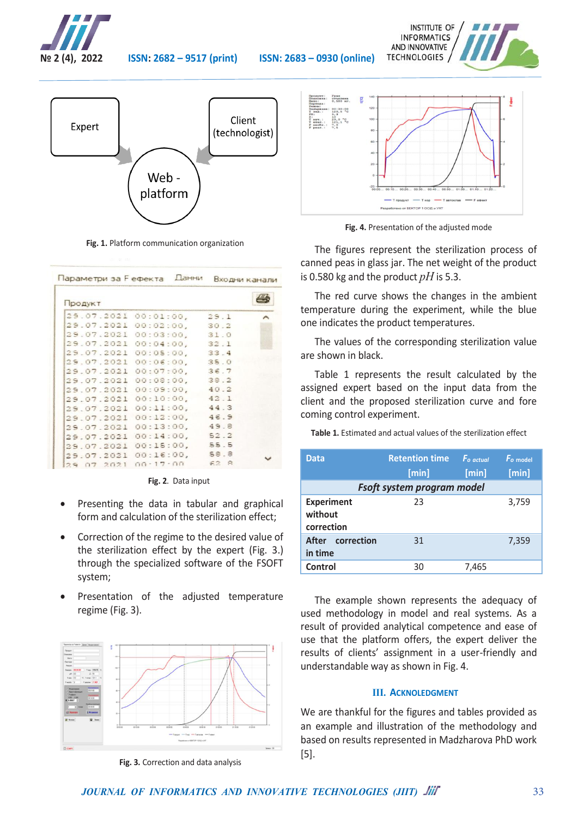

**№ 2 (4), 2022 ISSN: 2682 – 9517 (print) ISSN: 2683 – 0930 (online)**



**Fig. 1.** Platform communication organization

|                      | Параметри за Еефекта Данни |      | Входни канали |
|----------------------|----------------------------|------|---------------|
| Продукт              |                            |      |               |
| 29.07.2021 00:01:00, |                            | 29.1 |               |
| 29.07.2021 00:02:00, |                            | 30.2 |               |
|                      | 29.07.2021 00:03:00,       | 31.0 |               |
|                      | 29.07.2021 00:04:00, 32.1  |      |               |
|                      | 29.07.2021 00:05:00, 33.4  |      |               |
|                      | 29.07.2021 00:06:00, 35.0  |      |               |
|                      | 29.07.2021 00:07:00, 36.7  |      |               |
|                      | 29.07.2021 00:08:00,       | 38.2 |               |
|                      | 29.07.2021 00:09:00, 40.2  |      |               |
|                      | 29.07.2021 00:10:00, 42.1  |      |               |
| 29.07.2021           | 00:11:00, 44.3             |      |               |
| 29.07.2021           | $00:12:00$ ,               | 46.9 |               |
| 29.07.2021           | $00:13:00$ ,               | 49.8 |               |
| 29.07.2021           | $00:14:00$ ,               | 52.2 |               |
| 29.07.2021           | 00:15:00, 55.5             |      |               |
| 29.07.2021           | $00:16:00$ ,               | 58.8 |               |
| 29 07 2021 00:17:00  |                            | 62R  |               |

**Fig. 2**. Data input

- Presenting the data in tabular and graphical form and calculation of the sterilization effect;
- Correction of the regime to the desired value of the sterilization effect by the expert (Fig. 3.) through the specialized software of the FSOFT system;
- Presentation of the adjusted temperature regime (Fig. 3).



**Fig. 3***.* Correction and data analysis





**Fig. 4.** Presentation of the adjusted mode

The figures represent the sterilization process of canned peas in glass jar. The net weight of the product is 0.580 kg and the product *pH* is 5.3.

The red curve shows the changes in the ambient temperature during the experiment, while the blue one indicates the product temperatures.

The values of the corresponding sterilization value are shown in black.

Table 1 represents the result calculated by the assigned expert based on the input data from the client and the proposed sterilization curve and fore coming control experiment.

**Table 1.** Estimated and actual values of the sterilization effect

| Data                                       | <b>Retention time</b><br>[min] | $Fo$ actual<br>[min] | $\mathbf{F}$ <sub>o</sub> model<br>[min] |  |
|--------------------------------------------|--------------------------------|----------------------|------------------------------------------|--|
| Fsoft system program model                 |                                |                      |                                          |  |
| <b>Experiment</b><br>without<br>correction | 23                             |                      | 3,759                                    |  |
| After correction<br>in time                | 31                             |                      | 7,359                                    |  |
| Control                                    | 30                             | 7,465                |                                          |  |

The example shown represents the adequacy of used methodology in model and real systems. As a result of provided analytical competence and ease of use that the platform offers, the expert deliver the results of clients' assignment in a user-friendly and understandable way as shown in Fig. 4.

### **III. ACKNOLEDGMENT**

We are thankful for the figures and tables provided as an example and illustration of the methodology and based on results represented in Madzharova PhD work [5].